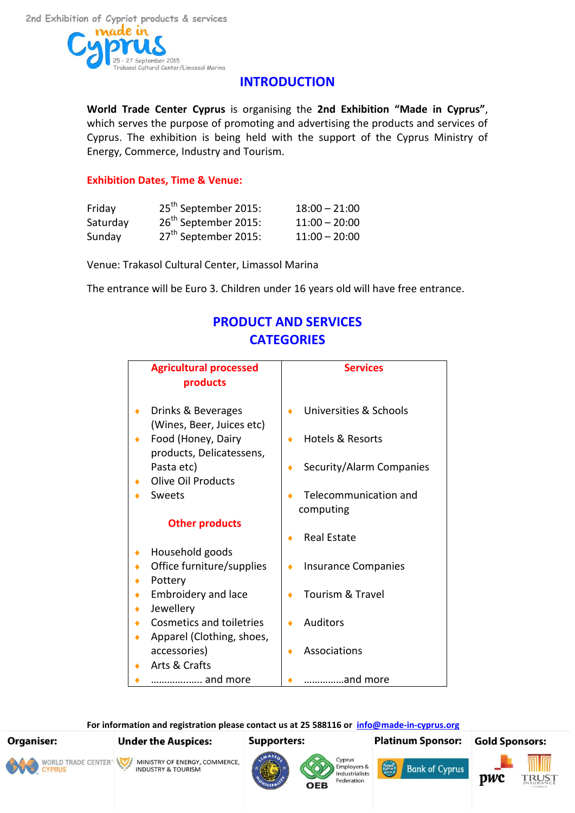

## **INTRODUCTION**

**World Trade Center Cyprus** is organising the **2nd Exhibition "Made in Cyprus"**, which serves the purpose of promoting and advertising the products and services of Cyprus. The exhibition is being held with the support of the Cyprus Ministry of Energy, Commerce, Industry and Tourism.

## **Exhibition Dates, Time & Venue:**

| Friday   | 25 <sup>th</sup> September 2015: | $18:00 - 21:00$ |
|----------|----------------------------------|-----------------|
| Saturday | 26 <sup>th</sup> September 2015: | $11:00 - 20:00$ |
| Sunday   | 27 <sup>th</sup> September 2015: | $11:00 - 20:00$ |

Venue: Trakasol Cultural Center, Limassol Marina

The entrance will be Euro 3. Children under 16 years old will have free entrance.

# **PRODUCT AND SERVICES CATEGORIES**

|   | <b>Agricultural processed</b>                   |   | <b>Services</b>            |
|---|-------------------------------------------------|---|----------------------------|
|   | products                                        |   |                            |
| ٠ | Drinks & Beverages<br>(Wines, Beer, Juices etc) |   | Universities & Schools     |
| ٠ | Food (Honey, Dairy<br>products, Delicatessens,  |   | Hotels & Resorts           |
|   | Pasta etc)                                      | ٠ | Security/Alarm Companies   |
|   | <b>Olive Oil Products</b>                       |   |                            |
|   | Sweets                                          |   | Telecommunication and      |
|   |                                                 |   | computing                  |
|   | <b>Other products</b>                           |   |                            |
|   |                                                 |   | <b>Real Estate</b>         |
| ٠ | Household goods                                 |   |                            |
|   | Office furniture/supplies                       |   | <b>Insurance Companies</b> |
|   | Pottery                                         |   |                            |
| ٠ | <b>Embroidery and lace</b>                      |   | Tourism & Travel           |
|   | Jewellery                                       |   |                            |
| ٠ | Cosmetics and toiletries                        |   | <b>Auditors</b>            |
| ۰ | Apparel (Clothing, shoes,                       |   |                            |
|   | accessories)                                    |   | Associations               |
|   | Arts & Crafts                                   |   |                            |
|   | and more                                        |   | and more                   |

**For information and registration please contact us at 25 588116 or [info@made-in-cyprus.org](mailto:info@made-in-cyprus.org)**

#### **Gold Sponsors: Organiser: Under the Auspices: Supporters: Platinum Sponsor:** Cyprus WORLD TRADE CENTER<sup>®</sup> MINISTRY OF ENERGY, COMMERCE, Employers &<br>Industrialists **Bank of Cyprus INDUSTRY & TOURISM YPRUS DW** Federation

OFR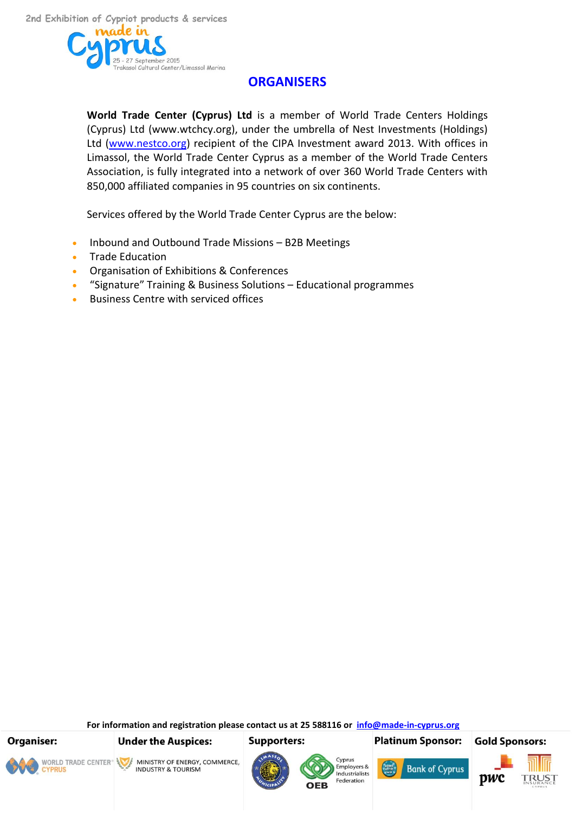

# **ORGANISERS**

**World Trade Center (Cyprus) Ltd** is a member of World Trade Centers Holdings (Cyprus) Ltd (www.wtchcy.org), under the umbrella of Nest Investments (Holdings) Ltd [\(www.nestco.org\)](http://www.nestco.org/) recipient of the CIPA Investment award 2013. With offices in Limassol, the World Trade Center Cyprus as a member of the World Trade Centers Association, is fully integrated into a network of over 360 World Trade Centers with 850,000 affiliated companies in 95 countries on six continents.

Services offered by the World Trade Center Cyprus are the below:

- Inbound and Outbound Trade Missions B2B Meetings
- **•** Trade Education
- Organisation of Exhibitions & Conferences
- "Signature" Training & Business Solutions Educational programmes
- Business Centre with serviced offices

**For information and registration please contact us at 25 588116 or [info@made-in-cyprus.org](mailto:info@made-in-cyprus.org)**

**Organiser:** 



**Under the Auspices:** 

**Supporters:** 

**Platinum Sponsor:** 









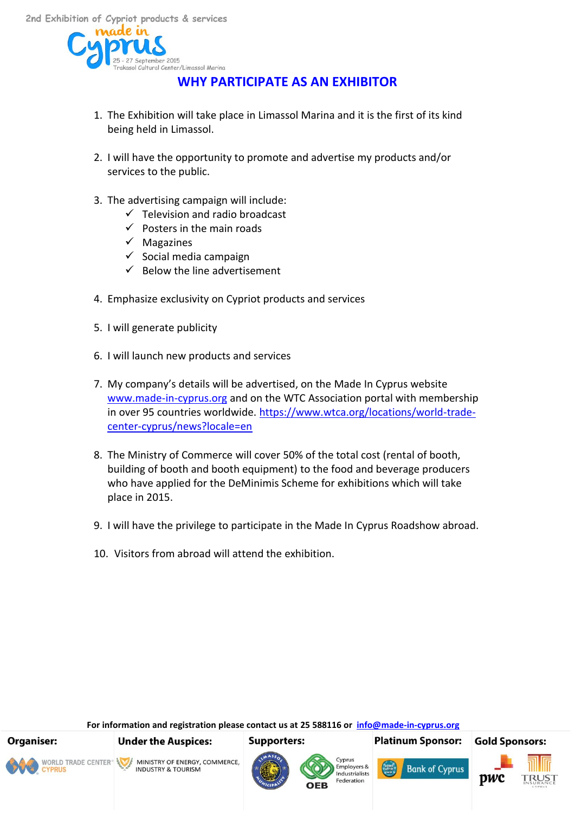

# **WHY PARTICIPATE AS AN EXHIBITOR**

- 1. The Exhibition will take place in Limassol Marina and it is the first of its kind being held in Limassol.
- 2. I will have the opportunity to promote and advertise my products and/or services to the public.
- 3. The advertising campaign will include:
	- $\checkmark$  Television and radio broadcast
	- $\checkmark$  Posters in the main roads
	- $\checkmark$  Magazines
	- $\checkmark$  Social media campaign
	- $\checkmark$  Below the line advertisement
- 4. Emphasize exclusivity on Cypriot products and services
- 5. I will generate publicity
- 6. I will launch new products and services
- 7. My company's details will be advertised, on the Made In Cyprus website [www.made-in-cyprus.org](http://www.made-in-cyprus.org/) and on the WTC Association portal with membership in over 95 countries worldwide. [https://www.wtca.org/locations/world-trade](https://www.wtca.org/locations/world-trade-center-cyprus/news?locale=en)[center-cyprus/news?locale=en](https://www.wtca.org/locations/world-trade-center-cyprus/news?locale=en)
- 8. The Ministry of Commerce will cover 50% of the total cost (rental of booth, building of booth and booth equipment) to the food and beverage producers who have applied for the DeMinimis Scheme for exhibitions which will take place in 2015.
- 9. I will have the privilege to participate in the Made In Cyprus Roadshow abroad.
- 10. Visitors from abroad will attend the exhibition.

**For information and registration please contact us at 25 588116 or [info@made-in-cyprus.org](mailto:info@made-in-cyprus.org)**

**Organiser:** 



**Under the Auspices:** 

**INDUSTRY & TOURISM** 

MINISTRY OF ENERGY, COMMERCE,

**Supporters:** 





**Platinum Sponsor:** 

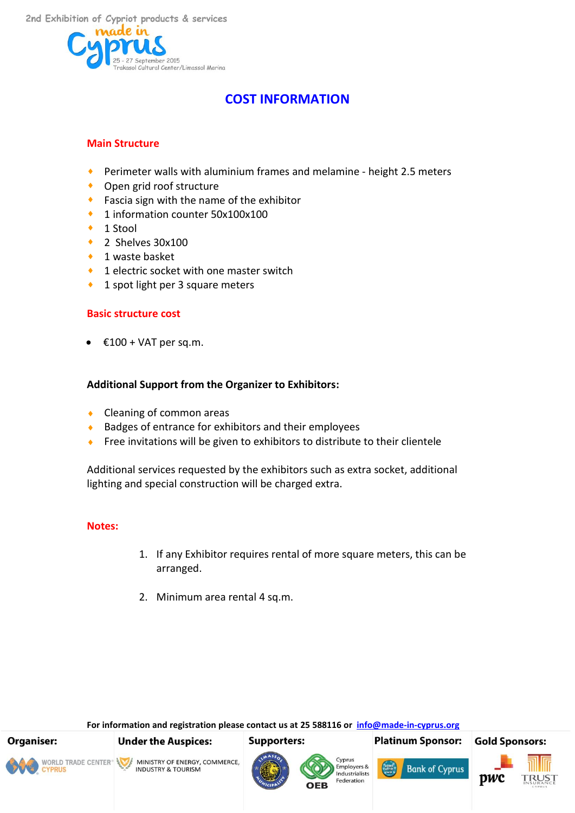

# **COST INFORMATION**

## **Main Structure**

- Perimeter walls with aluminium frames and melamine height 2.5 meters
- ◆ Open grid roof structure
- **Fascia sign with the name of the exhibitor**
- ◆ 1 information counter 50x100x100
- 1 Stool
- $\bullet$  2 Shelves 30x100
- 1 waste basket
- ◆ 1 electric socket with one master switch
- ◆ 1 spot light per 3 square meters

## **Basic structure cost**

 $£100 + VAT$  per sq.m.

## **Additional Support from the Organizer to Exhibitors:**

- Cleaning of common areas
- ◆ Badges of entrance for exhibitors and their employees
- Free invitations will be given to exhibitors to distribute to their clientele

Additional services requested by the exhibitors such as extra socket, additional lighting and special construction will be charged extra.

#### **Notes:**

- 1. If any Exhibitor requires rental of more square meters, this can be arranged.
- 2. Minimum area rental 4 sq.m.

**For information and registration please contact us at 25 588116 or [info@made-in-cyprus.org](mailto:info@made-in-cyprus.org)**

**Supporters:** 



**WORLD TRADE CENTER<sup>®</sup>** 

MINISTRY OF ENERGY, COMMERCE, **INDUSTRY & TOURISM** 

**Under the Auspices:** 







**Bank of Cyprus** 

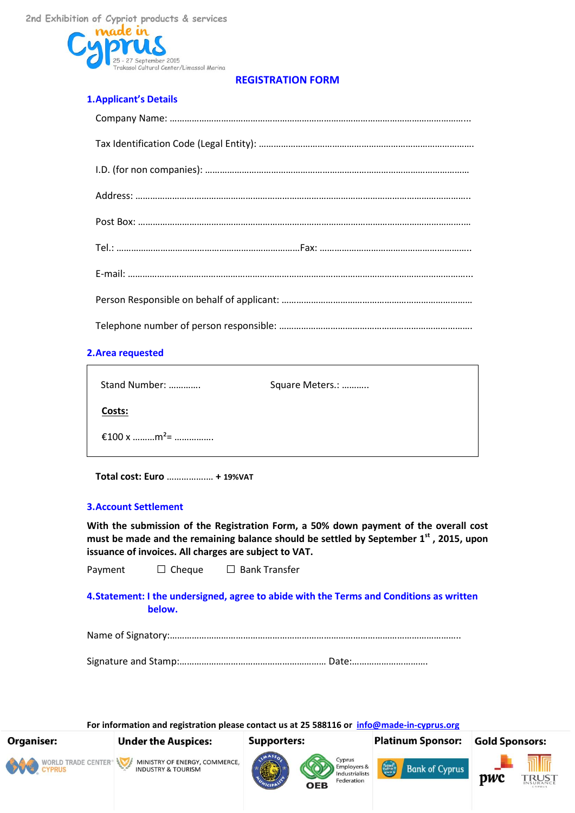

#### **REGISTRATION FORM**

#### **1.Applicant's Details**

#### **2.Area requested**

| Stand Number:           | Square Meters.: |
|-------------------------|-----------------|
| Costs:                  |                 |
| €100 x m <sup>2</sup> = |                 |

**Total cost: Euro** …………….… **+ 19%VAT**

#### **3.Account Settlement**

**With the submission of the Registration Form, a 50% down payment of the overall cost must be made and the remaining balance should be settled by September 1st , 2015, upon issuance of invoices. All charges are subject to VAT.** 

Payment □ Cheque □ Bank Transfer

#### **4.Statement: I the undersigned, agree to abide with the Terms and Conditions as written below.**

Name of Signatory:………………………………………………………………………………………………………..

Signature and Stamp:…………………………………………………… Date:………………………….

**For information and registration please contact us at 25 588116 or [info@made-in-cyprus.org](mailto:info@made-in-cyprus.org) Supporters:** 



**Organiser:** 

MINISTRY OF ENERGY, COMMERCE, **INDUSTRY & TOURISM** 

**Under the Auspices:** 





OFR



**Platinum Sponsor:** 

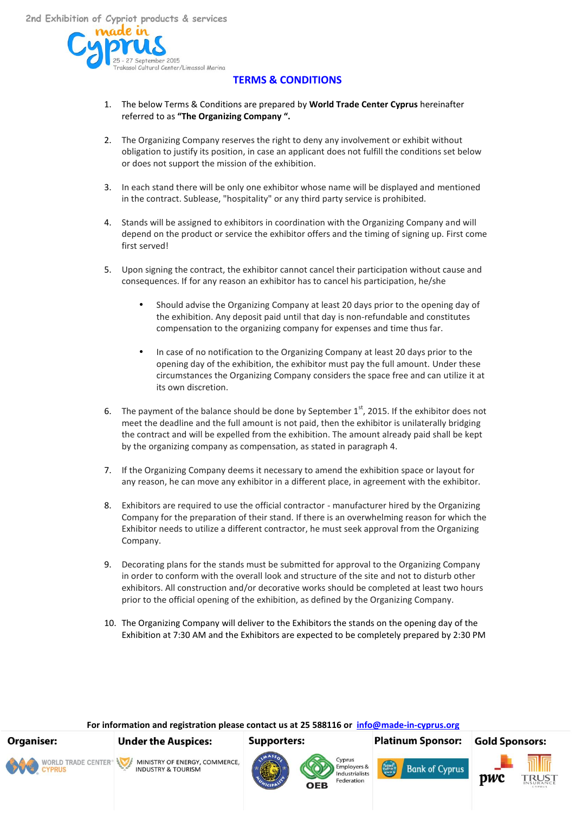eptember 2015 -<br>Frakasol Cultural Center/Limassol Marina

#### **TERMS & CONDITIONS**

- 1. The below Terms & Conditions are prepared by **World Trade Center Cyprus** hereinafter referred to as **"The Organizing Company ".**
- 2. The Organizing Company reserves the right to deny any involvement or exhibit without obligation to justify its position, in case an applicant does not fulfill the conditions set below or does not support the mission of the exhibition.
- 3. In each stand there will be only one exhibitor whose name will be displayed and mentioned in the contract. Sublease, "hospitality" or any third party service is prohibited.
- 4. Stands will be assigned to exhibitors in coordination with the Organizing Company and will depend on the product or service the exhibitor offers and the timing of signing up. First come first served!
- 5. Upon signing the contract, the exhibitor cannot cancel their participation without cause and consequences. If for any reason an exhibitor has to cancel his participation, he/she
	- Should advise the Organizing Company at least 20 days prior to the opening day of the exhibition. Any deposit paid until that day is non-refundable and constitutes compensation to the organizing company for expenses and time thus far.
	- In case of no notification to the Organizing Company at least 20 days prior to the opening day of the exhibition, the exhibitor must pay the full amount. Under these circumstances the Organizing Company considers the space free and can utilize it at its own discretion.
- 6. The payment of the balance should be done by September  $1<sup>st</sup>$ , 2015. If the exhibitor does not meet the deadline and the full amount is not paid, then the exhibitor is unilaterally bridging the contract and will be expelled from the exhibition. The amount already paid shall be kept by the organizing company as compensation, as stated in paragraph 4.
- 7. If the Organizing Company deems it necessary to amend the exhibition space or layout for any reason, he can move any exhibitor in a different place, in agreement with the exhibitor.
- 8. Exhibitors are required to use the official contractor manufacturer hired by the Organizing Company for the preparation of their stand. If there is an overwhelming reason for which the Exhibitor needs to utilize a different contractor, he must seek approval from the Organizing Company.
- 9. Decorating plans for the stands must be submitted for approval to the Organizing Company in order to conform with the overall look and structure of the site and not to disturb other exhibitors. All construction and/or decorative works should be completed at least two hours prior to the official opening of the exhibition, as defined by the Organizing Company.
- 10. The Organizing Company will deliver to the Exhibitors the stands on the opening day of the Exhibition at 7:30 AM and the Exhibitors are expected to be completely prepared by 2:30 PM

#### **For information and registration please contact us at 25 588116 or [info@made-in-cyprus.org](mailto:info@made-in-cyprus.org)**

**Supporters:** 

**Organiser:** 



**Under the Auspices:** 







**Platinum Sponsor:**